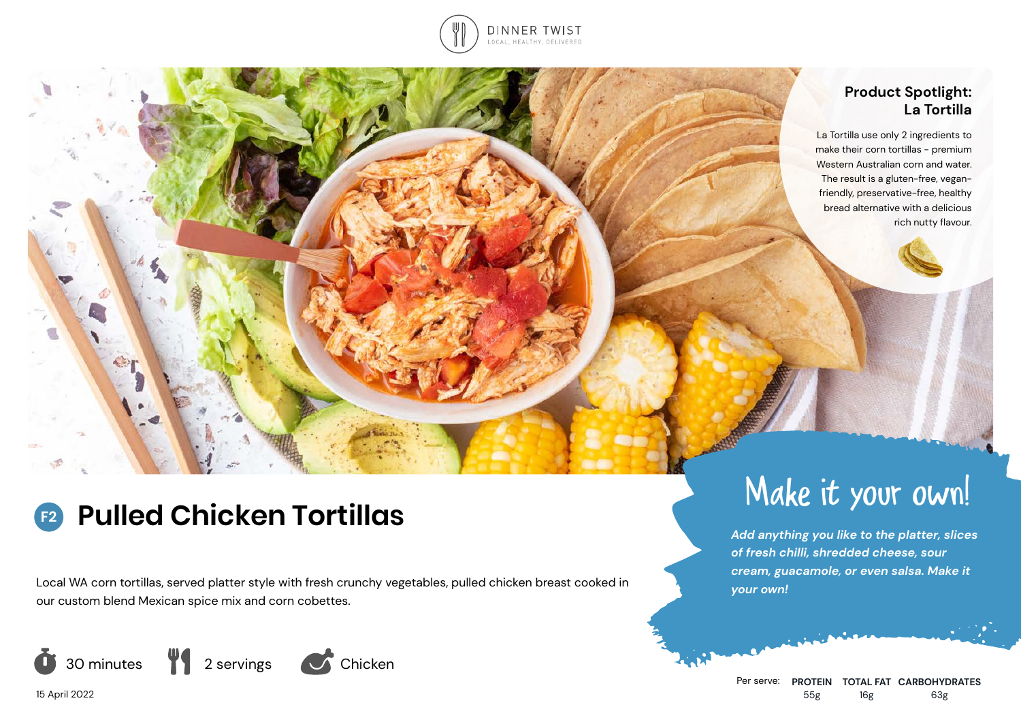

## **Product Spotlight: La Tortilla**

La Tortilla use only 2 ingredients to make their corn tortillas - premium Western Australian corn and water. The result is a gluten-free, veganfriendly, preservative-free, healthy bread alternative with a delicious rich nutty flavour.

### **Pulled Chicken Tortillas F2**

Local WA corn tortillas, served platter style with fresh crunchy vegetables, pulled chicken breast cooked in our custom blend Mexican spice mix and corn cobettes.



Make it your own!

*Add anything you like to the platter, slices of fresh chilli, shredded cheese, sour cream, guacamole, or even salsa. Make it your own!*